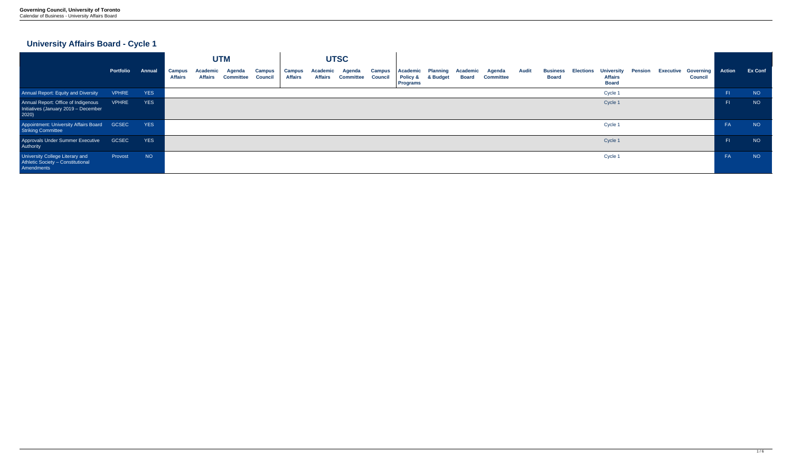|                                                                                           |                  |             |                                 | <b>UTM</b>                        |                            |                          | <b>UTSC</b>                     |                |                                            |                                 |                                                           |                             |                                 |                            |              |                                 |                  |                                                     |                |                                                     |           |                |
|-------------------------------------------------------------------------------------------|------------------|-------------|---------------------------------|-----------------------------------|----------------------------|--------------------------|---------------------------------|----------------|--------------------------------------------|---------------------------------|-----------------------------------------------------------|-----------------------------|---------------------------------|----------------------------|--------------|---------------------------------|------------------|-----------------------------------------------------|----------------|-----------------------------------------------------|-----------|----------------|
|                                                                                           | Portfolio Annual |             | <b>Campus</b><br><b>Affairs</b> | <b>Academic</b><br><b>Affairs</b> | Agenda<br><b>Committee</b> | Campus<br><b>Council</b> | <b>Campus</b><br><b>Affairs</b> | <b>Affairs</b> | <b>Academic Agenda</b><br><b>Committee</b> | <b>Campus</b><br><b>Council</b> | <b>Academic</b><br><b>Policy &amp;</b><br><b>Programs</b> | <b>Planning</b><br>& Budget | <b>Academic</b><br><b>Board</b> | Agenda<br><b>Committee</b> | <b>Audit</b> | <b>Business</b><br><b>Board</b> | <b>Elections</b> | <b>University</b><br><b>Affairs</b><br><b>Board</b> | <b>Pension</b> | <b>Executive Governing Action</b><br><b>Council</b> |           | <b>Ex Conf</b> |
| Annual Report: Equity and Diversity                                                       | <b>VPHRE</b>     | YES         |                                 |                                   |                            |                          |                                 |                |                                            |                                 |                                                           |                             |                                 |                            |              |                                 |                  | Cycle 1                                             |                |                                                     | -FL       | NO             |
| Annual Report: Office of Indigenous<br>Initiatives (January 2019 - December<br>2020)      | <b>VPHRE</b>     | <b>YES</b>  |                                 |                                   |                            |                          |                                 |                |                                            |                                 |                                                           |                             |                                 |                            |              |                                 |                  | Cycle 1                                             |                |                                                     | F         | <b>NO</b>      |
| Appointment: University Affairs Board GCSEC<br>Striking Committee                         |                  | <b>EXES</b> |                                 |                                   |                            |                          |                                 |                |                                            |                                 |                                                           |                             |                                 |                            |              |                                 |                  | Cycle 1                                             |                |                                                     | <b>FA</b> | <b>NO</b>      |
| Approvals Under Summer Executive<br>Authority                                             | GCSEC            | YES         |                                 |                                   |                            |                          |                                 |                |                                            |                                 |                                                           |                             |                                 |                            |              |                                 |                  | Cycle 1                                             |                |                                                     | F         | <b>NO</b>      |
| <b>University College Literary and</b><br>Athletic Society - Constitutional<br>Amendments | Provost          | NO          |                                 |                                   |                            |                          |                                 |                |                                            |                                 |                                                           |                             |                                 |                            |              |                                 |                  | Cycle 1                                             |                |                                                     | <b>FA</b> | NO             |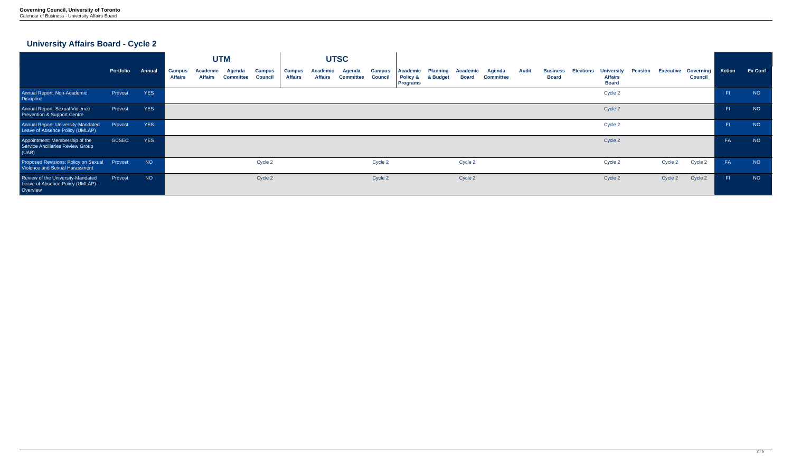|                                                                                       |                  |            |                                 | <b>UTM</b>                        |                            |                                 | <b>UTSC</b>                     |                                   |                            |                                 |                                                           |                             |                                 |                            |              |                                 |                  |                                                     |                |                  |                                           |           |                |
|---------------------------------------------------------------------------------------|------------------|------------|---------------------------------|-----------------------------------|----------------------------|---------------------------------|---------------------------------|-----------------------------------|----------------------------|---------------------------------|-----------------------------------------------------------|-----------------------------|---------------------------------|----------------------------|--------------|---------------------------------|------------------|-----------------------------------------------------|----------------|------------------|-------------------------------------------|-----------|----------------|
|                                                                                       | Portfolio Annual |            | <b>Campus</b><br><b>Affairs</b> | <b>Academic</b><br><b>Affairs</b> | Agenda<br><b>Committee</b> | <b>Campus</b><br><b>Council</b> | <b>Campus</b><br><b>Affairs</b> | <b>Academic</b><br><b>Affairs</b> | Agenda<br><b>Committee</b> | <b>Campus</b><br><b>Council</b> | <b>Academic</b><br><b>Policy &amp;</b><br><b>Programs</b> | <b>Planning</b><br>& Budget | <b>Academic</b><br><b>Board</b> | Agenda<br><b>Committee</b> | <b>Audit</b> | <b>Business</b><br><b>Board</b> | <b>Elections</b> | <b>University</b><br><b>Affairs</b><br><b>Board</b> | <b>Pension</b> | <b>Executive</b> | <b>Governing Action</b><br><b>Council</b> |           | <b>Ex Conf</b> |
| Annual Report: Non-Academic<br><b>Discipline</b>                                      | Provost          | <b>YES</b> |                                 |                                   |                            |                                 |                                 |                                   |                            |                                 |                                                           |                             |                                 |                            |              |                                 |                  | Cycle 2                                             |                |                  |                                           | F1        | <b>NO</b>      |
| Annual Report: Sexual Violence<br>Prevention & Support Centre                         | Provost          | <b>YES</b> |                                 |                                   |                            |                                 |                                 |                                   |                            |                                 |                                                           |                             |                                 |                            |              |                                 |                  | Cycle 2                                             |                |                  |                                           | F1        | <b>NO</b>      |
| Annual Report: University-Mandated<br>Leave of Absence Policy (UMLAP)                 | Provost          | YES        |                                 |                                   |                            |                                 |                                 |                                   |                            |                                 |                                                           |                             |                                 |                            |              |                                 |                  | Cycle 2                                             |                |                  |                                           | $F\Gamma$ | <b>NO</b>      |
| Appointment: Membership of the<br>Service Ancillaries Review Group<br>(UAB)           | <b>GCSEC</b>     | <b>YES</b> |                                 |                                   |                            |                                 |                                 |                                   |                            |                                 |                                                           |                             |                                 |                            |              |                                 |                  | Cycle 2                                             |                |                  |                                           | FA        | <b>NO</b>      |
| Proposed Revisions: Policy on Sexual Provost<br><b>Violence and Sexual Harassment</b> |                  | NO         |                                 |                                   |                            | Cycle 2                         |                                 |                                   |                            | Cycle 2                         |                                                           |                             | Cycle 2                         |                            |              |                                 |                  | Cycle 2                                             |                | Cycle 2          | Cycle 2                                   | FA        | <b>NO</b>      |
| Review of the University-Mandated<br>Leave of Absence Policy (UMLAP) -<br>Overview    | Provost          | NO         |                                 |                                   |                            | Cycle 2                         |                                 |                                   |                            | Cycle 2                         |                                                           |                             | Cycle 2                         |                            |              |                                 |                  | Cycle 2                                             |                | Cycle 2          | Cycle 2                                   | F         | <b>NO</b>      |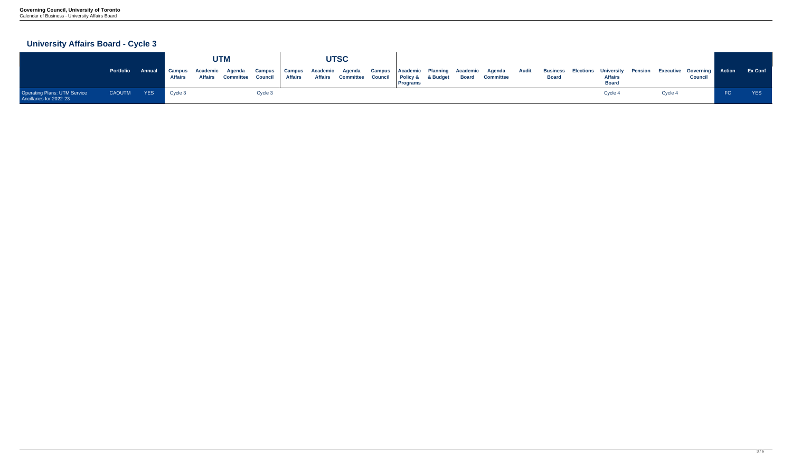|                                                                |                                                         |            |                | <b>UTM</b>                          |         |  | <b>UTSC</b> |                 |  |                                                                                                                                 |              |                                |         |                                                                                           |           |            |
|----------------------------------------------------------------|---------------------------------------------------------|------------|----------------|-------------------------------------|---------|--|-------------|-----------------|--|---------------------------------------------------------------------------------------------------------------------------------|--------------|--------------------------------|---------|-------------------------------------------------------------------------------------------|-----------|------------|
|                                                                | Portfolio Annual Campus Academic Agenda Campus   Campus |            | <b>Affairs</b> | Affairs Committee Council   Affairs |         |  |             | <b>Programs</b> |  | Academic Agenda Campus Academic Planning Academic Agenda Audit<br>Affairs Committee Council   Policy & & Budget Board Committee | <b>Board</b> | <b>Affairs</b><br><b>Board</b> |         | Business Elections University Pension Executive Governing Action ExConf<br><b>Council</b> |           |            |
| <b>Operating Plans: UTM Service</b><br>Ancillaries for 2022-23 | CAOUTM                                                  | <b>YES</b> | Cycle 3        |                                     | Cycle 3 |  |             |                 |  |                                                                                                                                 |              | Cycle 4                        | Cycle 4 |                                                                                           | <b>FC</b> | <b>YES</b> |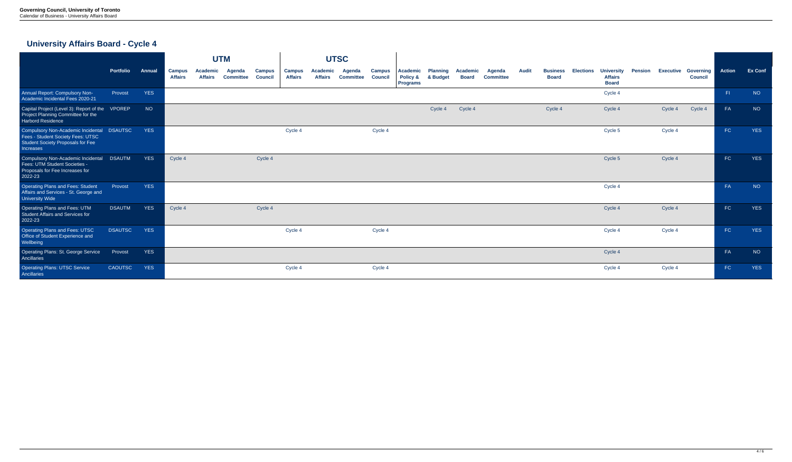|                                                                                                                                          |                  |            |                                 | <b>UTM</b>                 |                                   | <b>UTSC</b>                     |                                 |                                   |                                   |                                 |                                                |                             |                                 |                            |              |                                 |                  |                                                     |                |                  |                                    |               |                |
|------------------------------------------------------------------------------------------------------------------------------------------|------------------|------------|---------------------------------|----------------------------|-----------------------------------|---------------------------------|---------------------------------|-----------------------------------|-----------------------------------|---------------------------------|------------------------------------------------|-----------------------------|---------------------------------|----------------------------|--------------|---------------------------------|------------------|-----------------------------------------------------|----------------|------------------|------------------------------------|---------------|----------------|
|                                                                                                                                          | <b>Portfolio</b> | Annual     | <b>Campus</b><br><b>Affairs</b> | Academic<br><b>Affairs</b> | <b>Agenda</b><br><b>Committee</b> | <b>Campus</b><br><b>Council</b> | <b>Campus</b><br><b>Affairs</b> | <b>Academic</b><br><b>Affairs</b> | <b>Agenda</b><br><b>Committee</b> | <b>Campus</b><br><b>Council</b> | <b>Academic</b><br>Policy &<br><b>Programs</b> | <b>Planning</b><br>& Budget | <b>Academic</b><br><b>Board</b> | Agenda<br><b>Committee</b> | <b>Audit</b> | <b>Business</b><br><b>Board</b> | <b>Elections</b> | <b>University</b><br><b>Affairs</b><br><b>Board</b> | <b>Pension</b> | <b>Executive</b> | <b>Governing</b><br><b>Council</b> | <b>Action</b> | <b>Ex Conf</b> |
| Annual Report: Compulsory Non-<br>Academic Incidental Fees 2020-21                                                                       | Provost          | <b>YES</b> |                                 |                            |                                   |                                 |                                 |                                   |                                   |                                 |                                                |                             |                                 |                            |              |                                 |                  | Cycle 4                                             |                |                  |                                    | F             | NO             |
| Capital Project (Level 3): Report of the VPOREP<br>Project Planning Committee for the<br><b>Harbord Residence</b>                        |                  | NO         |                                 |                            |                                   |                                 |                                 |                                   |                                   |                                 |                                                | Cycle 4                     | Cycle 4                         |                            |              | Cycle 4                         |                  | Cycle 4                                             |                | Cycle 4          | Cycle 4                            | FA            | <b>NO</b>      |
| Compulsory Non-Academic Incidental DSAUTSC<br>Fees - Student Society Fees: UTSC<br><b>Student Society Proposals for Fee</b><br>Increases |                  | <b>YES</b> |                                 |                            |                                   |                                 | Cycle 4                         |                                   |                                   | Cycle 4                         |                                                |                             |                                 |                            |              |                                 |                  | Cycle 5                                             |                | Cycle 4          |                                    | FC.           | <b>YES</b>     |
| <b>Compulsory Non-Academic Incidental</b><br>Fees: UTM Student Societies -<br>Proposals for Fee Increases for<br>2022-23                 | <b>DSAUTM</b>    | <b>YES</b> | Cycle 4                         |                            |                                   | Cycle 4                         |                                 |                                   |                                   |                                 |                                                |                             |                                 |                            |              |                                 |                  | Cycle 5                                             |                | Cycle 4          |                                    | FC            | <b>YES</b>     |
| <b>Operating Plans and Fees: Student</b><br>Affairs and Services - St. George and<br><b>University Wide</b>                              | Provost          | <b>YES</b> |                                 |                            |                                   |                                 |                                 |                                   |                                   |                                 |                                                |                             |                                 |                            |              |                                 |                  | Cycle 4                                             |                |                  |                                    | FA            | NO             |
| <b>Operating Plans and Fees: UTM</b><br><b>Student Affairs and Services for</b><br>2022-23                                               | <b>DSAUTM</b>    | <b>YES</b> | Cycle 4                         |                            |                                   | Cycle 4                         |                                 |                                   |                                   |                                 |                                                |                             |                                 |                            |              |                                 |                  | Cycle 4                                             |                | Cycle 4          |                                    | FC            | <b>YES</b>     |
| <b>Operating Plans and Fees: UTSC</b><br>Office of Student Experience and<br>Wellbeing                                                   | <b>DSAUTSC</b>   | <b>YES</b> |                                 |                            |                                   |                                 | Cycle 4                         |                                   |                                   | Cycle 4                         |                                                |                             |                                 |                            |              |                                 |                  | Cycle 4                                             |                | Cycle 4          |                                    | FC            | <b>YES</b>     |
| <b>Operating Plans: St. George Service</b><br>Ancillaries                                                                                | Provost          | <b>YES</b> |                                 |                            |                                   |                                 |                                 |                                   |                                   |                                 |                                                |                             |                                 |                            |              |                                 |                  | Cycle 4                                             |                |                  |                                    | FA            | <b>NO</b>      |
| <b>Operating Plans: UTSC Service</b><br>Ancillaries                                                                                      | <b>CAOUTSC</b>   | <b>YES</b> |                                 |                            |                                   |                                 | Cycle 4                         |                                   |                                   | Cycle 4                         |                                                |                             |                                 |                            |              |                                 |                  | Cycle 4                                             |                | Cycle 4          |                                    | FC.           | <b>YES</b>     |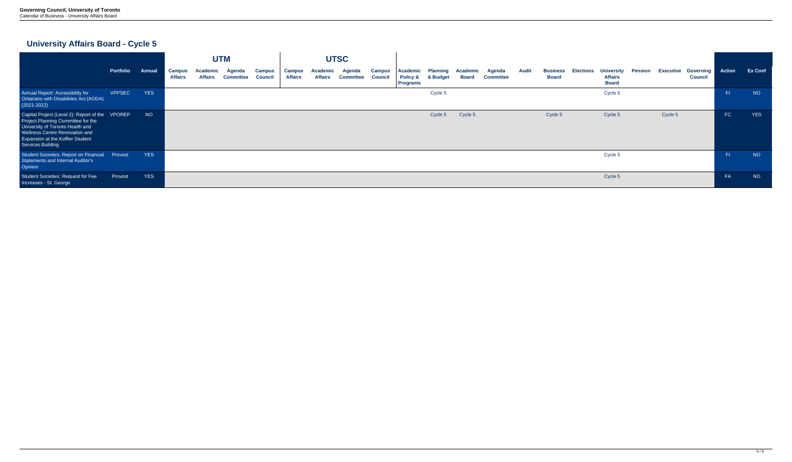|                                                                                                                                                                                                                                    |                  |            | <b>UTM</b>                      |                                   |                            | <b>UTSC</b>                     |                                 |                                   |                            |                                 |                                                           |                             |                                 |                            |              |                                 |                  |                                                     |                |                  |                                           |           |                |
|------------------------------------------------------------------------------------------------------------------------------------------------------------------------------------------------------------------------------------|------------------|------------|---------------------------------|-----------------------------------|----------------------------|---------------------------------|---------------------------------|-----------------------------------|----------------------------|---------------------------------|-----------------------------------------------------------|-----------------------------|---------------------------------|----------------------------|--------------|---------------------------------|------------------|-----------------------------------------------------|----------------|------------------|-------------------------------------------|-----------|----------------|
|                                                                                                                                                                                                                                    | <b>Portfolio</b> | Annual     | <b>Campus</b><br><b>Affairs</b> | <b>Academic</b><br><b>Affairs</b> | Agenda<br><b>Committee</b> | <b>Campus</b><br><b>Council</b> | <b>Campus</b><br><b>Affairs</b> | <b>Academic</b><br><b>Affairs</b> | Agenda<br><b>Committee</b> | <b>Campus</b><br><b>Council</b> | <b>Academic</b><br><b>Policy &amp;</b><br><b>Programs</b> | <b>Planning</b><br>& Budget | <b>Academic</b><br><b>Board</b> | Agenda<br><b>Committee</b> | <b>Audit</b> | <b>Business</b><br><b>Board</b> | <b>Elections</b> | <b>University</b><br><b>Affairs</b><br><b>Board</b> | <b>Pension</b> | <b>Executive</b> | <b>Governing Action</b><br><b>Council</b> |           | <b>Ex Conf</b> |
| Annual Report: Accessibility for<br>Ontarians with Disabilities Act (AODA)<br>$(2021 - 2022)$                                                                                                                                      | <b>VPPSEC</b>    | <b>YES</b> |                                 |                                   |                            |                                 |                                 |                                   |                            |                                 |                                                           | Cycle 5                     |                                 |                            |              |                                 |                  | Cycle 5                                             |                |                  |                                           | $F\Gamma$ | <b>NO</b>      |
| Capital Project (Level 2): Report of the VPOREP<br>Project Planning Committee for the<br>University of Toronto Health and<br>Wellness Centre Renovation and<br><b>Expansion at the Koffler Student</b><br><b>Services Building</b> |                  | NO         |                                 |                                   |                            |                                 |                                 |                                   |                            |                                 |                                                           | Cycle 5                     | Cycle 5                         |                            |              | Cycle 5                         |                  | Cycle 5                                             |                | Cycle 5          |                                           | <b>FC</b> | <b>YES</b>     |
| Student Societies: Report on Financial Provost<br><b>Statements and Internal Auditor's</b><br>Opinion                                                                                                                              |                  | <b>YES</b> |                                 |                                   |                            |                                 |                                 |                                   |                            |                                 |                                                           |                             |                                 |                            |              |                                 |                  | Cycle 5                                             |                |                  |                                           | $F\Gamma$ | <b>NO</b>      |
| <b>Student Societies: Request for Fee</b><br>Increases - St. George                                                                                                                                                                | Provost          | <b>YES</b> |                                 |                                   |                            |                                 |                                 |                                   |                            |                                 |                                                           |                             |                                 |                            |              |                                 |                  | Cycle 5                                             |                |                  |                                           | FA        | <b>NO</b>      |